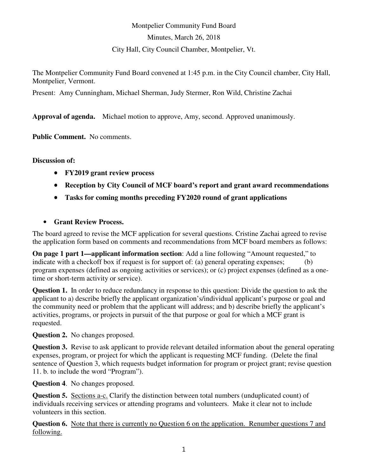## Montpelier Community Fund Board Minutes, March 26, 2018 City Hall, City Council Chamber, Montpelier, Vt.

The Montpelier Community Fund Board convened at 1:45 p.m. in the City Council chamber, City Hall, Montpelier, Vermont.

Present: Amy Cunningham, Michael Sherman, Judy Stermer, Ron Wild, Christine Zachai

**Approval of agenda.** Michael motion to approve, Amy, second. Approved unanimously.

**Public Comment.** No comments.

**Discussion of:**

- **FY2019 grant review process**
- **Reception by City Council of MCF board's report and grant award recommendations**
- **Tasks for coming months preceding FY2020 round of grant applications**
- **Grant Review Process.**

The board agreed to revise the MCF application for several questions. Cristine Zachai agreed to revise the application form based on comments and recommendations from MCF board members as follows:

**On page 1 part 1—applicant information section**: Add a line following "Amount requested," to indicate with a checkoff box if request is for support of: (a) general operating expenses; (b) program expenses (defined as ongoing activities or services); or (c) project expenses (defined as a onetime or short-term activity or service).

**Question 1.** In order to reduce redundancy in response to this question: Divide the question to ask the applicant to a) describe briefly the applicant organization's/individual applicant's purpose or goal and the community need or problem that the applicant will address; and b) describe briefly the applicant's activities, programs, or projects in pursuit of the that purpose or goal for which a MCF grant is requested.

**Question 2.** No changes proposed.

**Question 3.** Revise to ask applicant to provide relevant detailed information about the general operating expenses, program, or project for which the applicant is requesting MCF funding. (Delete the final sentence of Question 3, which requests budget information for program or project grant; revise question 11. b. to include the word "Program").

**Question 4**. No changes proposed.

**Question 5.** Sections a-c. Clarify the distinction between total numbers (unduplicated count) of individuals receiving services or attending programs and volunteers. Make it clear not to include volunteers in this section.

**Question 6.** Note that there is currently no Question 6 on the application. Renumber questions 7 and following.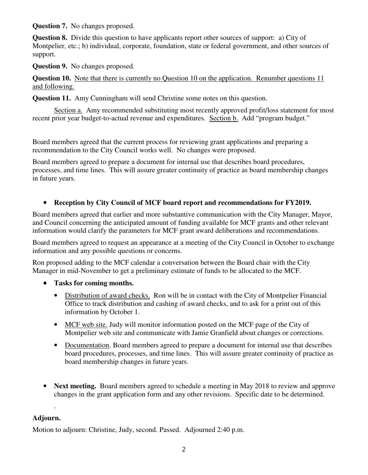**Question 7.** No changes proposed.

**Question 8.** Divide this question to have applicants report other sources of support: a) City of Montpelier, etc.; b) individual, corporate, foundation, state or federal government, and other sources of support.

**Question 9.** No changes proposed.

**Question 10.** Note that there is currently no Question 10 on the application. Renumber questions 11 and following.

**Question 11.** Amy Cunningham will send Christine some notes on this question.

Section a. Amy recommended substituting most recently approved profit/loss statement for most recent prior year budget-to-actual revenue and expenditures. Section b. Add "program budget."

Board members agreed that the current process for reviewing grant applications and preparing a recommendation to the City Council works well. No changes were proposed.

Board members agreed to prepare a document for internal use that describes board procedures, processes, and time lines. This will assure greater continuity of practice as board membership changes in future years.

## • **Reception by City Council of MCF board report and recommendations for FY2019.**

Board members agreed that earlier and more substantive communication with the City Manager, Mayor, and Council concerning the anticipated amount of funding available for MCF grants and other relevant information would clarify the parameters for MCF grant award deliberations and recommendations.

Board members agreed to request an appearance at a meeting of the City Council in October to exchange information and any possible questions or concerns.

Ron proposed adding to the MCF calendar a conversation between the Board chair with the City Manager in mid-November to get a preliminary estimate of funds to be allocated to the MCF.

- **Tasks for coming months.**
	- Distribution of award checks. Ron will be in contact with the City of Montpelier Financial Office to track distribution and cashing of award checks, and to ask for a print out of this information by October 1.
	- MCF web site. Judy will monitor information posted on the MCF page of the City of Montpelier web site and communicate with Jamie Granfield about changes or corrections.
	- Documentation. Board members agreed to prepare a document for internal use that describes board procedures, processes, and time lines. This will assure greater continuity of practice as board membership changes in future years.
- **Next meeting.** Board members agreed to schedule a meeting in May 2018 to review and approve changes in the grant application form and any other revisions. Specific date to be determined.

## **Adjourn.**

.

Motion to adjourn: Christine, Judy, second. Passed. Adjourned 2:40 p.m.